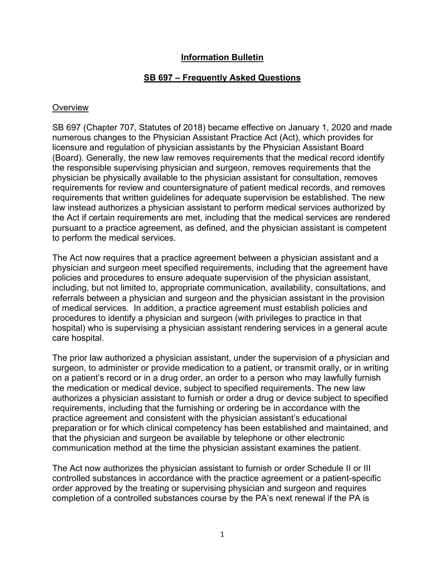## **Information Bulletin**

## **SB 697 – Frequently Asked Questions**

### **Overview**

SB 697 (Chapter 707, Statutes of 2018) became effective on January 1, 2020 and made numerous changes to the Physician Assistant Practice Act (Act), which provides for licensure and regulation of physician assistants by the Physician Assistant Board (Board). Generally, the new law removes requirements that the medical record identify the responsible supervising physician and surgeon, removes requirements that the physician be physically available to the physician assistant for consultation, removes requirements for review and countersignature of patient medical records, and removes requirements that written guidelines for adequate supervision be established. The new law instead authorizes a physician assistant to perform medical services authorized by the Act if certain requirements are met, including that the medical services are rendered pursuant to a practice agreement, as defined, and the physician assistant is competent to perform the medical services.

The Act now requires that a practice agreement between a physician assistant and a physician and surgeon meet specified requirements, including that the agreement have policies and procedures to ensure adequate supervision of the physician assistant, including, but not limited to, appropriate communication, availability, consultations, and referrals between a physician and surgeon and the physician assistant in the provision of medical services. In addition, a practice agreement must establish policies and procedures to identify a physician and surgeon (with privileges to practice in that hospital) who is supervising a physician assistant rendering services in a general acute care hospital.

The prior law authorized a physician assistant, under the supervision of a physician and surgeon, to administer or provide medication to a patient, or transmit orally, or in writing on a patient's record or in a drug order, an order to a person who may lawfully furnish the medication or medical device, subject to specified requirements. The new law authorizes a physician assistant to furnish or order a drug or device subject to specified requirements, including that the furnishing or ordering be in accordance with the practice agreement and consistent with the physician assistant's educational preparation or for which clinical competency has been established and maintained, and that the physician and surgeon be available by telephone or other electronic communication method at the time the physician assistant examines the patient.

The Act now authorizes the physician assistant to furnish or order Schedule II or III controlled substances in accordance with the practice agreement or a patient-specific order approved by the treating or supervising physician and surgeon and requires completion of a controlled substances course by the PA's next renewal if the PA is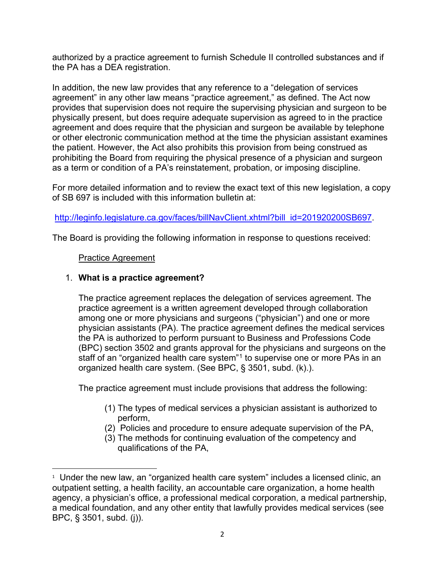authorized by a practice agreement to furnish Schedule II controlled substances and if the PA has a DEA registration.

In addition, the new law provides that any reference to a "delegation of services agreement" in any other law means "practice agreement," as defined. The Act now provides that supervision does not require the supervising physician and surgeon to be physically present, but does require adequate supervision as agreed to in the practice agreement and does require that the physician and surgeon be available by telephone or other electronic communication method at the time the physician assistant examines the patient. However, the Act also prohibits this provision from being construed as prohibiting the Board from requiring the physical presence of a physician and surgeon as a term or condition of a PA's reinstatement, probation, or imposing discipline.

For more detailed information and to review the exact text of this new legislation, a copy of SB 697 is included with this information bulletin at:

[http://leginfo.legislature.ca.gov/faces/billNavClient.xhtml?bill\\_id=201920200SB697.](http://leginfo.legislature.ca.gov/faces/billNavClient.xhtml?bill_id=201920200SB697)

The Board is providing the following information in response to questions received:

# Practice Agreement

# 1. **What is a practice agreement?**

The practice agreement replaces the delegation of services agreement. The practice agreement is a written agreement developed through collaboration among one or more physicians and surgeons ("physician") and one or more physician assistants (PA). The practice agreement defines the medical services the PA is authorized to perform pursuant to Business and Professions Code (BPC) section 3502 and grants approval for the physicians and surgeons on the staff of an "organized health care system"<sup>[1](#page-1-0)</sup> to supervise one or more PAs in an organized health care system. (See BPC, § 3501, subd. (k).).

The practice agreement must include provisions that address the following:

- (1) The types of medical services a physician assistant is authorized to perform,
- (2) Policies and procedure to ensure adequate supervision of the PA,
- (3) The methods for continuing evaluation of the competency and qualifications of the PA,

<span id="page-1-0"></span> $\overline{1}$ <sup>1</sup> Under the new law, an "organized health care system" includes a licensed clinic, an outpatient setting, a health facility, an accountable care organization, a home health agency, a physician's office, a professional medical corporation, a medical partnership, a medical foundation, and any other entity that lawfully provides medical services (see BPC, § 3501, subd. (j)).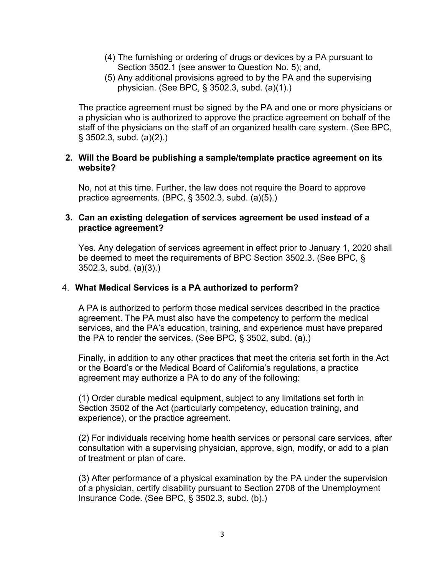- (4) The furnishing or ordering of drugs or devices by a PA pursuant to Section 3502.1 (see answer to Question No. 5); and,
- (5) Any additional provisions agreed to by the PA and the supervising physician. (See BPC, § 3502.3, subd. (a)(1).)

The practice agreement must be signed by the PA and one or more physicians or a physician who is authorized to approve the practice agreement on behalf of the staff of the physicians on the staff of an organized health care system. (See BPC, § 3502.3, subd. (a)(2).)

### **2. Will the Board be publishing a sample/template practice agreement on its website?**

No, not at this time. Further, the law does not require the Board to approve practice agreements. (BPC, § 3502.3, subd. (a)(5).)

### **3. Can an existing delegation of services agreement be used instead of a practice agreement?**

Yes. Any delegation of services agreement in effect prior to January 1, 2020 shall be deemed to meet the requirements of BPC Section 3502.3. (See BPC, § 3502.3, subd. (a)(3).)

### 4. **What Medical Services is a PA authorized to perform?**

A PA is authorized to perform those medical services described in the practice agreement. The PA must also have the competency to perform the medical services, and the PA's education, training, and experience must have prepared the PA to render the services. (See BPC, § 3502, subd. (a).)

Finally, in addition to any other practices that meet the criteria set forth in the Act or the Board's or the Medical Board of California's regulations, a practice agreement may authorize a PA to do any of the following:

(1) Order durable medical equipment, subject to any limitations set forth in Section 3502 of the Act (particularly competency, education training, and experience), or the practice agreement.

(2) For individuals receiving home health services or personal care services, after consultation with a supervising physician, approve, sign, modify, or add to a plan of treatment or plan of care.

(3) After performance of a physical examination by the PA under the supervision of a physician, certify disability pursuant to Section 2708 of the Unemployment Insurance Code. (See BPC, § 3502.3, subd. (b).)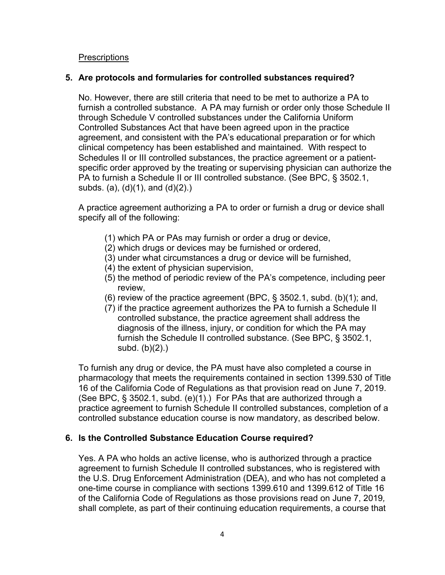**Prescriptions** 

### **5. Are protocols and formularies for controlled substances required?**

No. However, there are still criteria that need to be met to authorize a PA to furnish a controlled substance. A PA may furnish or order only those Schedule II through Schedule V controlled substances under the California Uniform Controlled Substances Act that have been agreed upon in the practice agreement, and consistent with the PA's educational preparation or for which clinical competency has been established and maintained. With respect to Schedules II or III controlled substances, the practice agreement or a patientspecific order approved by the treating or supervising physician can authorize the PA to furnish a Schedule II or III controlled substance. (See BPC, § 3502.1, subds. (a), (d)(1), and (d)(2).)

A practice agreement authorizing a PA to order or furnish a drug or device shall specify all of the following:

- (1) which PA or PAs may furnish or order a drug or device,
- (2) which drugs or devices may be furnished or ordered,
- (3) under what circumstances a drug or device will be furnished,
- (4) the extent of physician supervision,
- (5) the method of periodic review of the PA's competence, including peer review,
- (6) review of the practice agreement (BPC,  $\S$  3502.1, subd. (b)(1); and,
- (7) if the practice agreement authorizes the PA to furnish a Schedule II controlled substance, the practice agreement shall address the diagnosis of the illness, injury, or condition for which the PA may furnish the Schedule II controlled substance. (See BPC, § 3502.1, subd. (b)(2).)

To furnish any drug or device, the PA must have also completed a course in pharmacology that meets the requirements contained in section 1399.530 of Title 16 of the California Code of Regulations as that provision read on June 7, 2019. (See BPC, § 3502.1, subd. (e)(1).) For PAs that are authorized through a practice agreement to furnish Schedule II controlled substances, completion of a controlled substance education course is now mandatory, as described below.

## **6. Is the Controlled Substance Education Course required?**

Yes. A PA who holds an active license, who is authorized through a practice agreement to furnish Schedule II controlled substances, who is registered with the U.S. Drug Enforcement Administration (DEA), and who has not completed a one-time course in compliance with sections 1399.610 and 1399.612 of Title 16 of the California Code of Regulations as those provisions read on June 7, 2019*,*  shall complete, as part of their continuing education requirements, a course that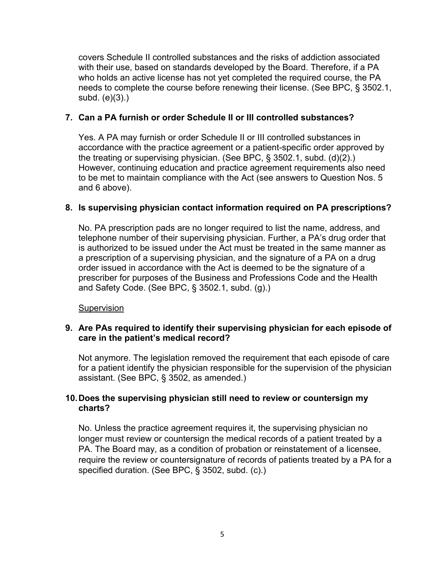covers Schedule II controlled substances and the risks of addiction associated with their use, based on standards developed by the Board. Therefore, if a PA who holds an active license has not yet completed the required course, the PA needs to complete the course before renewing their license. (See BPC, § 3502.1, subd. (e)(3).)

## **7. Can a PA furnish or order Schedule II or III controlled substances?**

Yes. A PA may furnish or order Schedule II or III controlled substances in accordance with the practice agreement or a patient-specific order approved by the treating or supervising physician. (See BPC, § 3502.1, subd. (d)(2).) However, continuing education and practice agreement requirements also need to be met to maintain compliance with the Act (see answers to Question Nos. 5 and 6 above).

## **8. Is supervising physician contact information required on PA prescriptions?**

No. PA prescription pads are no longer required to list the name, address, and telephone number of their supervising physician. Further, a PA's drug order that is authorized to be issued under the Act must be treated in the same manner as a prescription of a supervising physician, and the signature of a PA on a drug order issued in accordance with the Act is deemed to be the signature of a prescriber for purposes of the Business and Professions Code and the Health and Safety Code. (See BPC, § 3502.1, subd. (g).)

**Supervision** 

## **9. Are PAs required to identify their supervising physician for each episode of care in the patient's medical record?**

Not anymore. The legislation removed the requirement that each episode of care for a patient identify the physician responsible for the supervision of the physician assistant. (See BPC, § 3502, as amended.)

## **10.Does the supervising physician still need to review or countersign my charts?**

No. Unless the practice agreement requires it, the supervising physician no longer must review or countersign the medical records of a patient treated by a PA. The Board may, as a condition of probation or reinstatement of a licensee, require the review or countersignature of records of patients treated by a PA for a specified duration. (See BPC, § 3502, subd. (c).)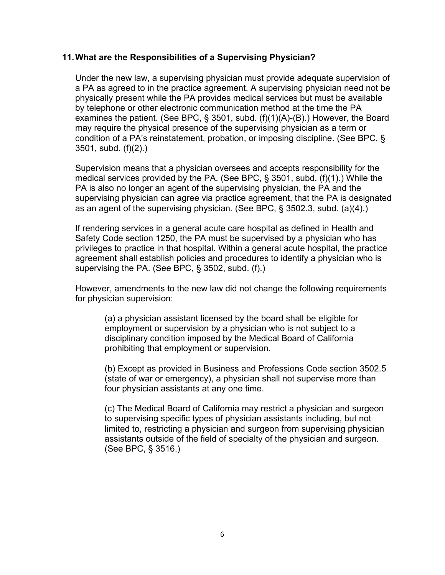### **11.What are the Responsibilities of a Supervising Physician?**

Under the new law, a supervising physician must provide adequate supervision of a PA as agreed to in the practice agreement. A supervising physician need not be physically present while the PA provides medical services but must be available by telephone or other electronic communication method at the time the PA examines the patient. (See BPC, § 3501, subd. (f)(1)(A)-(B).) However, the Board may require the physical presence of the supervising physician as a term or condition of a PA's reinstatement, probation, or imposing discipline. (See BPC, § 3501, subd. (f)(2).)

Supervision means that a physician oversees and accepts responsibility for the medical services provided by the PA. (See BPC, § 3501, subd. (f)(1).) While the PA is also no longer an agent of the supervising physician, the PA and the supervising physician can agree via practice agreement, that the PA is designated as an agent of the supervising physician. (See BPC, § 3502.3, subd. (a)(4).)

If rendering services in a general acute care hospital as defined in Health and Safety Code section 1250, the PA must be supervised by a physician who has privileges to practice in that hospital. Within a general acute hospital, the practice agreement shall establish policies and procedures to identify a physician who is supervising the PA. (See BPC, § 3502, subd. (f).)

However, amendments to the new law did not change the following requirements for physician supervision:

(a) a physician assistant licensed by the board shall be eligible for employment or supervision by a physician who is not subject to a disciplinary condition imposed by the Medical Board of California prohibiting that employment or supervision.

(b) Except as provided in Business and Professions Code section 3502.5 (state of war or emergency), a physician shall not supervise more than four physician assistants at any one time.

(c) The Medical Board of California may restrict a physician and surgeon to supervising specific types of physician assistants including, but not limited to, restricting a physician and surgeon from supervising physician assistants outside of the field of specialty of the physician and surgeon. (See BPC, § 3516.)